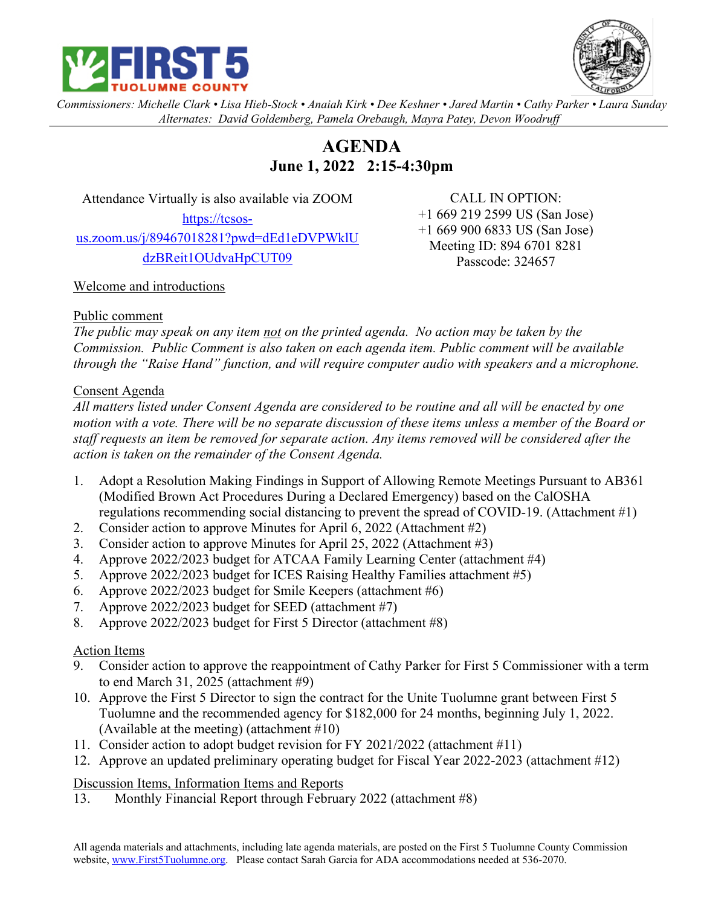



*Commissioners: Michelle Clark • Lisa Hieb-Stock • Anaiah Kirk • Dee Keshner • Jared Martin • Cathy Parker • Laura Sunday Alternates: David Goldemberg, Pamela Orebaugh, Mayra Patey, Devon Woodruff*

# **AGENDA June 1, 2022 2:15-4:30pm**

Attendance Virtually is also available via ZOOM

https://tcsosus.zoom.us/j/89467018281?pwd=dEd1eDVPWklU dzBReit1OUdvaHpCUT09

CALL IN OPTION: +1 669 219 2599 US (San Jose) +1 669 900 6833 US (San Jose) Meeting ID: 894 6701 8281 Passcode: 324657

## Welcome and introductions

#### Public comment

*The public may speak on any item not on the printed agenda. No action may be taken by the Commission. Public Comment is also taken on each agenda item. Public comment will be available through the "Raise Hand" function, and will require computer audio with speakers and a microphone.*

## Consent Agenda

*All matters listed under Consent Agenda are considered to be routine and all will be enacted by one motion with a vote. There will be no separate discussion of these items unless a member of the Board or staff requests an item be removed for separate action. Any items removed will be considered after the action is taken on the remainder of the Consent Agenda.*

- 1. Adopt a Resolution Making Findings in Support of Allowing Remote Meetings Pursuant to AB361 (Modified Brown Act Procedures During a Declared Emergency) based on the CalOSHA regulations recommending social distancing to prevent the spread of COVID-19. (Attachment #1)
- 2. Consider action to approve Minutes for April 6, 2022 (Attachment #2)
- 3. Consider action to approve Minutes for April 25, 2022 (Attachment #3)
- 4. Approve 2022/2023 budget for ATCAA Family Learning Center (attachment #4)
- 5. Approve 2022/2023 budget for ICES Raising Healthy Families attachment #5)
- 6. Approve 2022/2023 budget for Smile Keepers (attachment #6)
- 7. Approve 2022/2023 budget for SEED (attachment #7)
- 8. Approve 2022/2023 budget for First 5 Director (attachment #8)

## Action Items

- 9. Consider action to approve the reappointment of Cathy Parker for First 5 Commissioner with a term to end March 31, 2025 (attachment #9)
- 10. Approve the First 5 Director to sign the contract for the Unite Tuolumne grant between First 5 Tuolumne and the recommended agency for \$182,000 for 24 months, beginning July 1, 2022. (Available at the meeting) (attachment #10)
- 11. Consider action to adopt budget revision for FY 2021/2022 (attachment #11)
- 12. Approve an updated preliminary operating budget for Fiscal Year 2022-2023 (attachment #12)

## Discussion Items, Information Items and Reports

13. Monthly Financial Report through February 2022 (attachment #8)